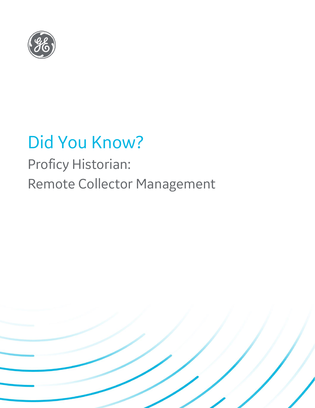

# Did You Know?

## Proficy Historian: Remote Collector Management

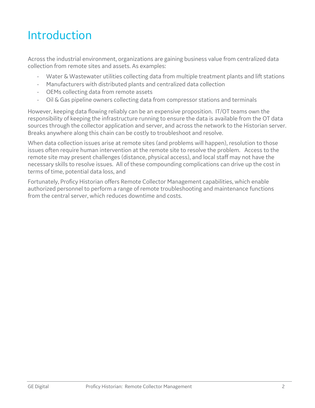### Introduction

Across the industrial environment, organizations are gaining business value from centralized data collection from remote sites and assets. As examples:

- Water & Wastewater utilities collecting data from multiple treatment plants and lift stations
- Manufacturers with distributed plants and centralized data collection
- OEMs collecting data from remote assets
- Oil & Gas pipeline owners collecting data from compressor stations and terminals

However, keeping data flowing reliably can be an expensive proposition. IT/OT teams own the responsibility of keeping the infrastructure running to ensure the data is available from the OT data sources through the collector application and server, and across the network to the Historian server. Breaks anywhere along this chain can be costly to troubleshoot and resolve.

When data collection issues arise at remote sites (and problems will happen), resolution to those issues often require human intervention at the remote site to resolve the problem. Access to the remote site may present challenges (distance, physical access), and local staff may not have the necessary skills to resolve issues. All of these compounding complications can drive up the cost in terms of time, potential data loss, and

Fortunately, Proficy Historian offers Remote Collector Management capabilities, which enable authorized personnel to perform a range of remote troubleshooting and maintenance functions from the central server, which reduces downtime and costs.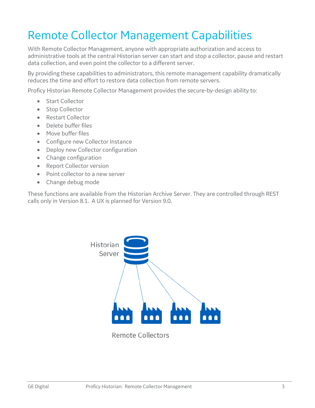### Remote Collector Management Capabilities

With Remote Collector Management, anyone with appropriate authorization and access to administrative tools at the central Historian server can start and stop a collector, pause and restart data collection, and even point the collector to a different server.

By providing these capabilities to administrators, this remote management capability dramatically reduces the time and effort to restore data collection from remote servers.

Proficy Historian Remote Collector Management provides the secure-by-design ability to:

- Start Collector
- Stop Collector
- Restart Collector
- Delete buffer files
- Move buffer files
- Configure new Collector Instance
- Deploy new Collector configuration
- Change configuration
- Report Collector version
- Point collector to a new server
- Change debug mode

These functions are available from the Historian Archive Server. They are controlled through REST calls only in Version 8.1. A UX is planned for Version 9.0.



**Remote Collectors**